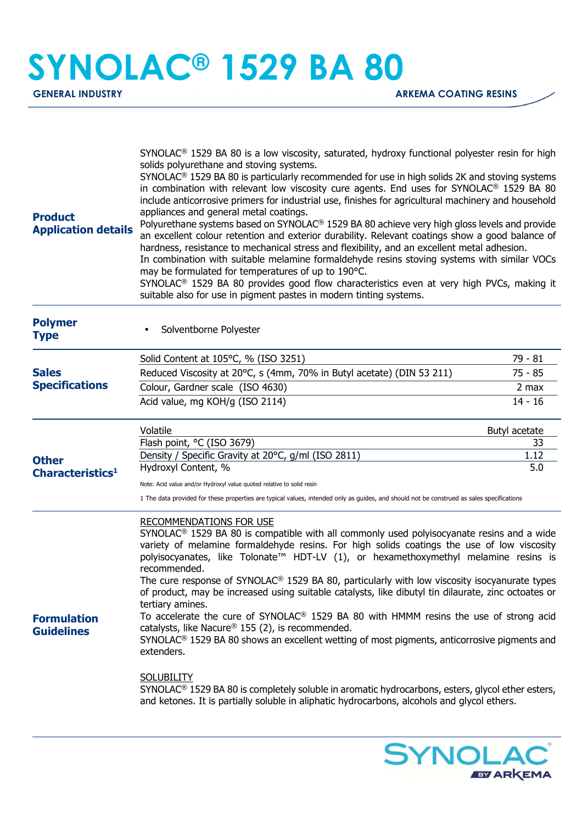## **SYNOLAC® 1529 BA 80**

| <b>Product</b><br><b>Application details</b> | SYNOLAC <sup>®</sup> 1529 BA 80 is a low viscosity, saturated, hydroxy functional polyester resin for high<br>solids polyurethane and stoving systems.<br>SYNOLAC <sup>®</sup> 1529 BA 80 is particularly recommended for use in high solids 2K and stoving systems<br>in combination with relevant low viscosity cure agents. End uses for SYNOLAC <sup>®</sup> 1529 BA 80<br>include anticorrosive primers for industrial use, finishes for agricultural machinery and household<br>appliances and general metal coatings.<br>Polyurethane systems based on SYNOLAC® 1529 BA 80 achieve very high gloss levels and provide<br>an excellent colour retention and exterior durability. Relevant coatings show a good balance of<br>hardness, resistance to mechanical stress and flexibility, and an excellent metal adhesion.<br>In combination with suitable melamine formaldehyde resins stoving systems with similar VOCs<br>may be formulated for temperatures of up to 190°C.<br>SYNOLAC <sup>®</sup> 1529 BA 80 provides good flow characteristics even at very high PVCs, making it<br>suitable also for use in pigment pastes in modern tinting systems. |               |
|----------------------------------------------|-------------------------------------------------------------------------------------------------------------------------------------------------------------------------------------------------------------------------------------------------------------------------------------------------------------------------------------------------------------------------------------------------------------------------------------------------------------------------------------------------------------------------------------------------------------------------------------------------------------------------------------------------------------------------------------------------------------------------------------------------------------------------------------------------------------------------------------------------------------------------------------------------------------------------------------------------------------------------------------------------------------------------------------------------------------------------------------------------------------------------------------------------------------------|---------------|
| <b>Polymer</b><br><b>Type</b>                | Solventborne Polyester                                                                                                                                                                                                                                                                                                                                                                                                                                                                                                                                                                                                                                                                                                                                                                                                                                                                                                                                                                                                                                                                                                                                            |               |
|                                              | Solid Content at 105°C, % (ISO 3251)                                                                                                                                                                                                                                                                                                                                                                                                                                                                                                                                                                                                                                                                                                                                                                                                                                                                                                                                                                                                                                                                                                                              | 79 - 81       |
| <b>Sales</b><br><b>Specifications</b>        | Reduced Viscosity at 20°C, s (4mm, 70% in Butyl acetate) (DIN 53 211)                                                                                                                                                                                                                                                                                                                                                                                                                                                                                                                                                                                                                                                                                                                                                                                                                                                                                                                                                                                                                                                                                             | $75 - 85$     |
|                                              | Colour, Gardner scale (ISO 4630)                                                                                                                                                                                                                                                                                                                                                                                                                                                                                                                                                                                                                                                                                                                                                                                                                                                                                                                                                                                                                                                                                                                                  | $2$ max       |
|                                              | Acid value, mg KOH/g (ISO 2114)                                                                                                                                                                                                                                                                                                                                                                                                                                                                                                                                                                                                                                                                                                                                                                                                                                                                                                                                                                                                                                                                                                                                   | $14 - 16$     |
|                                              | Volatile                                                                                                                                                                                                                                                                                                                                                                                                                                                                                                                                                                                                                                                                                                                                                                                                                                                                                                                                                                                                                                                                                                                                                          | Butyl acetate |
|                                              | Flash point, °C (ISO 3679)                                                                                                                                                                                                                                                                                                                                                                                                                                                                                                                                                                                                                                                                                                                                                                                                                                                                                                                                                                                                                                                                                                                                        | 33            |
| <b>Other</b>                                 | Density / Specific Gravity at 20°C, g/ml (ISO 2811)<br>Hydroxyl Content, %                                                                                                                                                                                                                                                                                                                                                                                                                                                                                                                                                                                                                                                                                                                                                                                                                                                                                                                                                                                                                                                                                        | 1.12<br>5.0   |
| Characteristics <sup>1</sup>                 |                                                                                                                                                                                                                                                                                                                                                                                                                                                                                                                                                                                                                                                                                                                                                                                                                                                                                                                                                                                                                                                                                                                                                                   |               |
|                                              | Note: Acid value and/or Hydroxyl value quoted relative to solid resin<br>1 The data provided for these properties are typical values, intended only as guides, and should not be construed as sales specifications                                                                                                                                                                                                                                                                                                                                                                                                                                                                                                                                                                                                                                                                                                                                                                                                                                                                                                                                                |               |
| <b>Formulation</b><br><b>Guidelines</b>      | RECOMMENDATIONS FOR USE<br>SYNOLAC <sup>®</sup> 1529 BA 80 is compatible with all commonly used polyisocyanate resins and a wide<br>variety of melamine formaldehyde resins. For high solids coatings the use of low viscosity<br>polyisocyanates, like Tolonate™ HDT-LV (1), or hexamethoxymethyl melamine resins is<br>recommended.<br>The cure response of SYNOLAC® 1529 BA 80, particularly with low viscosity isocyanurate types<br>of product, may be increased using suitable catalysts, like dibutyl tin dilaurate, zinc octoates or<br>tertiary amines.<br>To accelerate the cure of SYNOLAC <sup>®</sup> 1529 BA 80 with HMMM resins the use of strong acid<br>catalysts, like Nacure® 155 (2), is recommended.<br>SYNOLAC <sup>®</sup> 1529 BA 80 shows an excellent wetting of most pigments, anticorrosive pigments and<br>extenders.<br><b>SOLUBILITY</b><br>$SYNOLAC®$ 1529 BA 80 is completely soluble in aromatic hydrocarbons, esters, glycol ether esters,<br>and ketones. It is partially soluble in aliphatic hydrocarbons, alcohols and glycol ethers.                                                                                      |               |